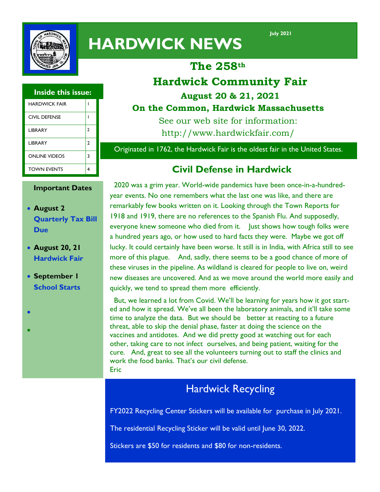

# **HARDWICK NEWS**

**July 2021** 

# **The 258th**

# **Hardwick Community Fair August 20 & 21, 2021**

#### **Inside this issue:**

| <b>HARDWICK FAIR</b> |   |
|----------------------|---|
| CIVIL DEFENSE        |   |
| <b>LIBRARY</b>       | 2 |
| <b>LIBRARY</b>       | 2 |
| <b>ONLINE VIDEOS</b> | 3 |
| <b>TOWN EVENTS</b>   |   |

#### **Important Dates**

- **August 2 Quarterly Tax Bill Due**
- **August 20, 21 Hardwick Fair**
- **September I School Starts**

 $\bullet$ 

 $\bullet$ 

### **On the Common, Hardwick Massachusetts**

See our web site for information: http://www.hardwickfair.com/

Originated in 1762, the Hardwick Fair is the oldest fair in the United States.

## **Civil Defense in Hardwick**

 2020 was a grim year. World-wide pandemics have been once-in-a-hundredyear events. No one remembers what the last one was like, and there are remarkably few books written on it. Looking through the Town Reports for 1918 and 1919, there are no references to the Spanish Flu. And supposedly, everyone knew someone who died from it. Just shows how tough folks were a hundred years ago, or how used to hard facts they were. Maybe we got off lucky. It could certainly have been worse. It still is in India, with Africa still to see more of this plague. And, sadly, there seems to be a good chance of more of these viruses in the pipeline. As wildland is cleared for people to live on, weird new diseases are uncovered. And as we move around the world more easily and quickly, we tend to spread them more efficiently.

 But, we learned a lot from Covid. We'll be learning for years how it got started and how it spread. We've all been the laboratory animals, and it'll take some time to analyze the data. But we should be better at reacting to a future threat, able to skip the denial phase, faster at doing the science on the vaccines and antidotes. And we did pretty good at watching out for each other, taking care to not infect ourselves, and being patient, waiting for the cure. And, great to see all the volunteers turning out to staff the clinics and work the food banks. That's our civil defense. Eric

# Hardwick Recycling

FY2022 Recycling Center Stickers will be available for purchase in July 2021.

The residential Recycling Sticker will be valid until June 30, 2022.

Stickers are \$50 for residents and \$80 for non-residents.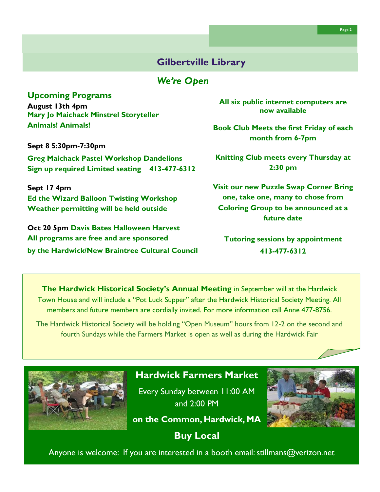#### **Gilbertville Library**

#### *We're Open*

#### **Upcoming Programs**

**August 13th 4pm Mary Jo Maichack Minstrel Storyteller Animals! Animals!**

**Sept 8 5:30pm-7:30pm Greg Maichack Pastel Workshop Dandelions Sign up required Limited seating 413-477-6312**

**Sept 17 4pm Ed the Wizard Balloon Twisting Workshop Weather permitting will be held outside**

**Oct 20 5pm Davis Bates Halloween Harvest All programs are free and are sponsored by the Hardwick/New Braintree Cultural Council** **All six public internet computers are now available**

**Book Club Meets the first Friday of each month from 6-7pm**

**Knitting Club meets every Thursday at 2:30 pm**

**Visit our new Puzzle Swap Corner Bring one, take one, many to chose from Coloring Group to be announced at a future date**

**Tutoring sessions by appointment 413-477-6312**

**The Hardwick Historical Society's Annual Meeting** in September will at the Hardwick Town House and will include a "Pot Luck Supper" after the Hardwick Historical Society Meeting. All members and future members are cordially invited. For more information call Anne 477-8756.

The Hardwick Historical Society will be holding "Open Museum" hours from 12-2 on the second and fourth Sundays while the Farmers Market is open as well as during the Hardwick Fair



#### **Hardwick Farmers Market**

Every Sunday between 11:00 AM and 2:00 PM



**on the Common, Hardwick, MA**

**Buy Local**

Anyone is welcome: If you are interested in a booth email: stillmans@verizon.net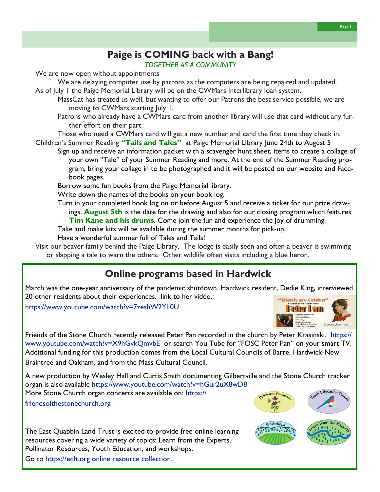#### **Paige is COMING back with a Bang!**  *TOGETHER AS A COMMUNITY*

We are now open without appointments

We are delaying computer use by patrons as the computers are being repaired and updated. As of July 1 the Paige Memorial Library will be on the CWMars Interlibrary loan system.

MassCat has treated us well, but wanting to offer our Patrons the best service possible, we are moving to CWMars starting July 1.

Patrons who already have a CWMars card from another library will use that card without any further effort on their part.

Those who need a CWMars card will get a new number and card the first time they check in. Children's Summer Reading **"Tails and Tales"** at Paige Memorial Library June 24th to August 5

Sign up and receive an information packet with a scavenger hunt sheet, items to create a collage of your own "Tale" of your Summer Reading and more. At the end of the Summer Reading program, bring your collage in to be photographed and it will be posted on our website and Facebook pages.

Borrow some fun books from the Paige Memorial library.

Write down the names of the books on your book log.

Turn in your completed book log on or before August 5 and receive a ticket for our prize drawings. **August 5th** is the date for the drawing and also for our closing program which features **Tim Kane and his drums**. Come join the fun and experience the joy of drumming.

Take and make kits will be available during the summer months for pick-up.

Have a wonderful summer full of Tales and Tails!

Visit our beaver family behind the Paige Library. The lodge is easily seen and often a beaver is swimming or slapping a tale to warn the others. Other wildlife often visits including a blue heron.

# **Online programs based in Hardwick**

March was the one-year anniversary of the pandemic shutdown. Hardwick resident, Dedie King, interviewed 20 other residents about their experiences. link to her video.:

https://www.youtube.com/watch?v=7zeshW2YL0U



**Page 3** 

Friends of the Stone Church recently released Peter Pan recorded in the church by Peter Krasinski. https:// www.youtube.com/watch?v=X9hGvkQmvbE or search You Tube for "FOSC Peter Pan" on your smart TV. Additional funding for this production comes from the [Local Cultural Councils o](https://massculturalcouncil.org/communities/local-cultural-council-program/)f Barre, Hardwick-New Braintree and Oakham, and from the [Mass Cultural Council.](https://massculturalcouncil.org/about/)

A new production by Wesley Hall and Curtis Smith documenting Gilbertville and the Stone Church tracker organ is also available https://www.youtube.com/watch?v=hGur2uX8wD8

More Stone Church organ concerts are available on: https:// friendsofthestonechurch.org

The East Quabbin Land Trust is excited to provide free online learning resources covering a wide variety of topics: Learn from the Experts, Pollinator Resources, Youth Education, and workshops.

Go to https://eqlt.org online resource collection.